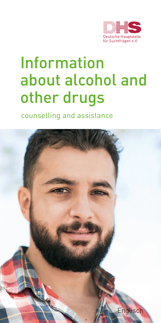

# Information about alcohol and other drugs

counselling and assistance

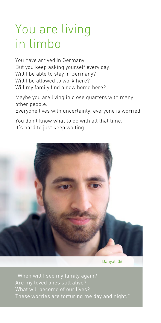## You are living in limbo

You have arrived in Germany. But you keep asking yourself every day: Will I be able to stay in Germany? Will I be allowed to work here? Will my family find a new home here?

Maybe you are living in close quarters with many other people.

Everyone lives with uncertainty, everyone is worried.

You don't know what to do with all that time. It's hard to just keep waiting.



Danyal, 36

"When will I see my family again? What will become of our lives?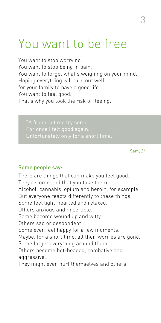### You want to be free

You want to stop worrying. You want to stop being in pain. You want to forget what's weighing on your mind. Hoping everything will turn out well, for your family to have a good life. You want to feel good. That's why you took the risk of fleeing.

Sam, 24

#### Some people say:

There are things that can make you feel good. They recommend that you take them. Alcohol, cannabis, opium and heroin, for example. But everyone reacts differently to these things. Some feel light-hearted and relaxed. Others anxious and miserable. Some become wound up and witty. Others sad or despondent. Some even feel happy for a few moments. Maybe, for a short time, all their worries are gone. Some forget everything around them. Others become hot-headed, combative and aggressive. They might even hurt themselves and others.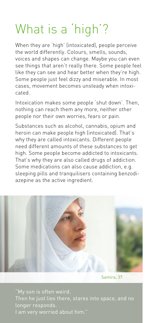# What is a 'high'?

When they are 'high' (intoxicated), people perceive the world differently. Colours, smells, sounds, voices and shapes can change. Maybe you can even see things that aren't really there. Some people feel like they can see and hear better when they're high. Some people just feel dizzy and miserable. In most cases, movement becomes unsteady when intoxicated.

Intoxication makes some people 'shut down'. Then, nothing can reach them any more, neither other people nor their own worries, fears or pain.

Substances such as alcohol, cannabis, opium and heroin can make people high (intoxicated). That's why they are called intoxicants. Different people need different amounts of these substances to get high. Some people become addicted to intoxicants. That's why they are also called drugs of addiction. Some medications can also cause addiction, e.g. sleeping pills and tranquilisers containing benzodiazepine as the active ingredient.



Samira, 37

"My son is often weird. longer responds. I am very worried about him."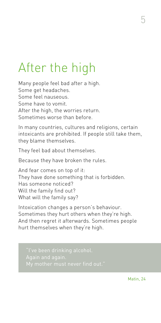# After the high

Many people feel bad after a high. Some get headaches. Some feel nauseous. Some have to vomit. After the high, the worries return. Sometimes worse than before.

In many countries, cultures and religions, certain intoxicants are prohibited. If people still take them, they blame themselves.

They feel bad about themselves.

Because they have broken the rules.

And fear comes on top of it: They have done something that is forbidden. Has someone noticed? Will the family find out? What will the family say?

Intoxication changes a person's behaviour. Sometimes they hurt others when they're high. And then regret it afterwards. Sometimes people hurt themselves when they're high.

Matin, 24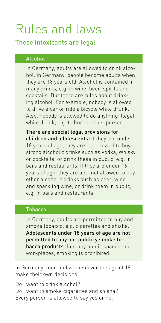# Rules and laws

### These intoxicants are legal

### Alcohol

In Germany, adults are allowed to drink alcohol. In Germany, people become adults when they are 18 years old. Alcohol is contained in many drinks, e.g. in wine, beer, spirits and cocktails. But there are rules about drinking alcohol. For example, nobody is allowed to drive a car or ride a bicycle while drunk. Also, nobody is allowed to do anything illegal while drunk, e.g. to hurt another person.

There are special legal provisions for children and adolescents: If they are under 18 years of age, they are not allowed to buy strong alcoholic drinks such as Vodka, Whisky or cocktails, or drink these in public, e.g. in bars and restaurants. If they are under 16 years of age, they are also not allowed to buy other alcoholic drinks such as beer, wine and sparkling wine, or drink them in public, e.g. in bars and restaurants.

### Tobacco

In Germany, adults are permitted to buy and smoke tobacco, e.g. cigarettes and shisha. Adolescents under 18 years of age are not permitted to buy nor publicly smoke tobacco products. In many public spaces and workplaces, smoking is prohibited.

In Germany, men and women over the age of 18 make their own decisions.

Do I want to drink alcohol? Do I want to smoke cigarettes and shisha? Every person is allowed to say yes or no.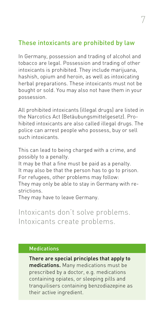### These intoxicants are prohibited by law

In Germany, possession and trading of alcohol and tobacco are legal. Possession and trading of other intoxicants is prohibited. They include marijuana, hashish, opium and heroin, as well as intoxicating herbal preparations. These intoxicants must not be bought or sold. You may also not have them in your possession.

All prohibited intoxicants (illegal drugs) are listed in the Narcotics Act (Betäubungsmittelgesetz). Prohibited intoxicants are also called illegal drugs. The police can arrest people who possess, buy or sell such intoxicants.

This can lead to being charged with a crime, and possibly to a penalty.

It may be that a fine must be paid as a penalty. It may also be that the person has to go to prison. For refugees, other problems may follow:

They may only be able to stay in Germany with restrictions.

They may have to leave Germany.

Intoxicants don't solve problems. Intoxicants create problems.

### **Medications**

There are special principles that apply to medications. Many medications must be prescribed by a doctor, e.g. medications containing opiates, or sleeping pills and tranquilisers containing benzodiazepine as their active ingredient.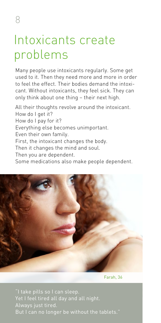## Intoxicants create problems

Many people use intoxicants regularly. Some get used to it. Then they need more and more in order to feel the effect. Their bodies demand the intoxicant. Without intoxicants, they feel sick. They can only think about one thing – their next high.

All their thoughts revolve around the intoxicant. How do I get it? How do I pay for it? Everything else becomes unimportant. Even their own family. First, the intoxicant changes the body. Then it changes the mind and soul. Then you are dependent. Some medications also make people dependent.



Farah, 36

"I take pills so I can sleep. Yet I feel tired all day and all night. Always just tired.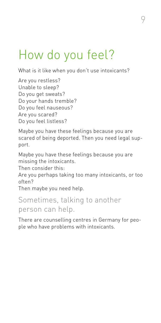## How do you feel?

What is it like when you don't use intoxicants?

Are you restless? Unable to sleep? Do you get sweats? Do your hands tremble? Do you feel nauseous? Are you scared? Do you feel listless?

Maybe you have these feelings because you are scared of being deported. Then you need legal support.

Maybe you have these feelings because you are missing the intoxicants.

Then consider this:

Are you perhaps taking too many intoxicants, or too often?

Then maybe you need help.

### Sometimes, talking to another person can help.

There are counselling centres in Germany for people who have problems with intoxicants.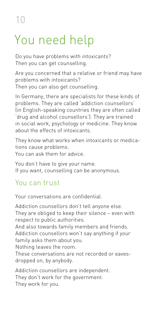### 10

# You need help

Do you have problems with intoxicants? Then you can get counselling.

Are you concerned that a relative or friend may have problems with intoxicants?

Then you can also get counselling.

In Germany, there are specialists for these kinds of problems. They are called 'addiction counsellors' (in English-speaking countries they are often called 'drug and alcohol counsellors'). They are trained in social work, psychology or medicine. They know about the effects of intoxicants.

They know what works when intoxicants or medications cause problems.

You can ask them for advice.

You don't have to give your name. If you want, counselling can be anonymous.

### You can trust

Your conversations are confidential.

Addiction counsellors don't tell anyone else. They are obliged to keep their silence – even with respect to public authorities.

And also towards family members and friends. Addiction counsellors won't say anything if your family asks them about you.

Nothing leaves the room.

These conversations are not recorded or eavesdropped on, by anybody.

Addiction counsellors are independent. They don't work for the government. They work for you.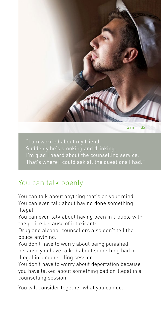

Samir, 32

I'm glad I heard about the counselling service. That's where I could ask all the questions I had."

### You can talk openly

You can talk about anything that's on your mind. You can even talk about having done something illegal.

You can even talk about having been in trouble with the police because of intoxicants.

Drug and alcohol counsellors also don't tell the police anything.

You don't have to worry about being punished because you have talked about something bad or illegal in a counselling session.

You don't have to worry about deportation because you have talked about something bad or illegal in a counselling session.

You will consider together what you can do.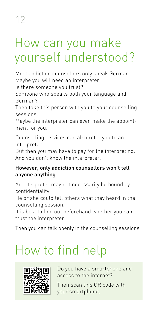12

## How can you make yourself understood?

Most addiction counsellors only speak German. Maybe you will need an interpreter.

Is there someone you trust?

Someone who speaks both your language and German?

Then take this person with you to your counselling sessions.

Maybe the interpreter can even make the appointment for you.

Counselling services can also refer you to an interpreter.

But then you may have to pay for the interpreting. And you don't know the interpreter.

### However, only addiction counsellors won't tell anyone anything.

An interpreter may not necessarily be bound by confidentiality.

He or she could tell others what they heard in the counselling session.

It is best to find out beforehand whether you can trust the interpreter.

Then you can talk openly in the counselling sessions.

## How to find help



Do you have a smartphone and access to the internet?

Then scan this QR code with your smartphone.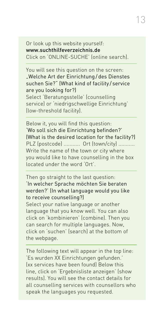Or look up this website yourself: www.suchthilfeverzeichnis.de Click on 'ONLINE-SUCHE' (online search).

### You will see this question on the screen: "Welche Art der Einrichtung/des Dienstes suchen Sie?" (What kind of facility / service are you looking for?)

Select 'Beratungsstelle' (counselling service) or 'niedrigschwellige Einrichtung' (low-threshold facility).

Below it, you will find this question: 'Wo soll sich die Einrichtung befinden?' (What is the desired location for the facility?) PLZ (postcode) ........... Ort (town/city) ........... Write the name of the town or city where you would like to have counselling in the box located under the word 'Ort'.

### Then go straight to the last question: 'In welcher Sprache möchten Sie beraten werden?' (In what language would you like to receive counselling?)

Select your native language or another language that you know well. You can also click on 'kombinieren' (combine). Then you can search for multiple languages. Now, click on 'suchen' (search) at the bottom of the webpage.

The following text will appear in the top line: 'Es wurden XX Einrichtungen gefunden.' (xx services have been found) Below this line, click on 'Ergebnisliste anzeigen' (show results). You will see the contact details for all counselling services with counsellors who speak the languages you requested.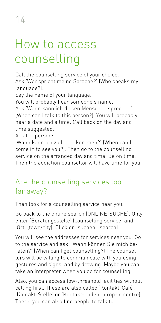## How to access counselling

Call the counselling service of your choice. Ask 'Wer spricht meine Sprache?' (Who speaks my language?).

Say the name of your language.

You will probably hear someone's name.

Ask 'Wann kann ich diesen Menschen sprechen' (When can I talk to this person?). You will probably hear a date and a time. Call back on the day and time suggested.

Ask the person:

'Wann kann ich zu Ihnen kommen?' (When can I come in to see you?). Then go to the counselling service on the arranged day and time. Be on time. Then the addiction counsellor will have time for you.

### Are the counselling services too far away?

Then look for a counselling service near you.

Go back to the online search (ONLINE-SUCHE). Only enter 'Beratungsstelle' (counselling service) and 'Ort' (town/city). Click on 'suchen' (search).

You will see the addresses for services near you. Go to the service and ask: 'Wann können Sie mich beraten?' (When can I get counselling?) The counsellors will be willing to communicate with you using gestures and signs, and by drawing. Maybe you can take an interpreter when you go for counselling.

Also, you can access low-threshold facilities without calling first. These are also called 'Kontakt-Café', 'Kontakt-Stelle' or 'Kontakt-Laden' (drop-in centre). There, you can also find people to talk to.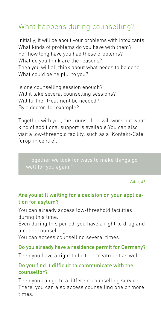### What happens during counselling?

Initially, it will be about your problems with intoxicants. What kinds of problems do you have with them? For how long have you had these problems? What do you think are the reasons? Then you will all think about what needs to be done. What could be helpful to you?

Is one counselling session enough? Will it take several counselling sessions? Will further treatment be needed? By a doctor, for example?

Together with you, the counsellors will work out what kind of additional support is available.You can also visit a low-threshold facility, such as a 'Kontakt-Café' (drop-in centre).

well for you again.

Adib, 46

#### Are you still waiting for a decision on your application for asylum?

You can already access low-threshold facilities during this time.

Even during this period, you have a right to drug and alcohol counselling.

You can access counselling several times.

#### Do you already have a residence permit for Germany?

Then you have a right to further treatment as well.

#### Do you find it difficult to communicate with the counsellor?

Then you can go to a different counselling service. There, you can also access counselling one or more times.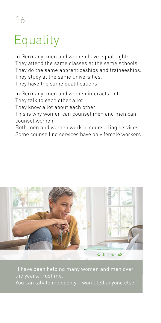### 16

# **Equality**

In Germany, men and women have equal rights. They attend the same classes at the same schools. They do the same apprenticeships and traineeships. They study at the same universities. They have the same qualifications.

In Germany, men and women interact a lot.

They talk to each other a lot.

They know a lot about each other.

This is why women can counsel men and men can counsel women.

Both men and women work in counselling services. Some counselling services have only female workers.



the years.Trust me.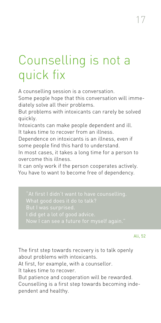## Counselling is not a quick fix

A counselling session is a conversation.

Some people hope that this conversation will immediately solve all their problems.

But problems with intoxicants can rarely be solved quickly.

Intoxicants can make people dependent and ill. It takes time to recover from an illness.

Dependence on intoxicants is an illness, even if some people find this hard to understand.

In most cases, it takes a long time for a person to overcome this illness.

It can only work if the person cooperates actively. You have to want to become free of dependency.

I did get a lot of good advice.

Ali, 52

The first step towards recovery is to talk openly about problems with intoxicants.

At first, for example, with a counsellor.

It takes time to recover.

But patience and cooperation will be rewarded. Counselling is a first step towards becoming independent and healthy.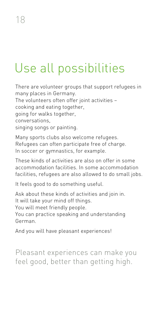# Use all possibilities

There are volunteer groups that support refugees in many places in Germany. The volunteers often offer joint activities – cooking and eating together, going for walks together, conversations, singing songs or painting.

Many sports clubs also welcome refugees. Refugees can often participate free of charge. In soccer or gymnastics, for example.

These kinds of activities are also on offer in some accommodation facilities. In some accommodation facilities, refugees are also allowed to do small jobs.

It feels good to do something useful.

Ask about these kinds of activities and join in. It will take your mind off things. You will meet friendly people. You can practice speaking and understanding German.

And you will have pleasant experiences!

Pleasant experiences can make you feel good, better than getting high.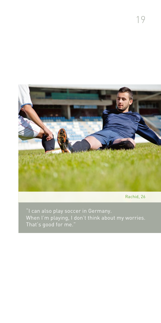

Rachid, 26

When I'm playing, I don't think about my worries. That's good for me."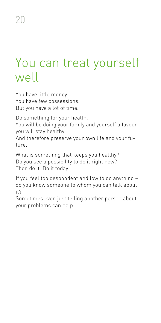### You can treat yourself well

You have little money. You have few possessions. But you have a lot of time.

Do something for your health.

You will be doing your family and yourself a favour – you will stay healthy.

And therefore preserve your own life and your future.

What is something that keeps you healthy? Do you see a possibility to do it right now? Then do it. Do it today.

If you feel too despondent and low to do anything – do you know someone to whom you can talk about it?

Sometimes even just telling another person about your problems can help.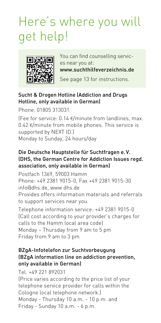# Here's where you will get help!



You can find counselling services near you at: www.suchthilfeverzeichnis.de

See page 13 for instructions.

### Sucht & Drogen Hotline (Addiction and Drugs Hotline, only available in German)

Phone: 01805 313031 (Fee for service: 0.14 €/minute from landlines, max. 0.42 €/minute from mobile phones. This service is supported by NEXT ID.) Monday to Sunday, 24 hours/day

### Die Deutsche Hauptstelle für Suchtfragen e. V. (DHS, the German Centre for Addiction Issues regd. association, only available in German)

Postfach 1369, 59003 Hamm Phone: +49 2381 9015-0, Fax +49 2381 9015-30 info@dhs.de, www.dhs.de Provides offers information materials and referrals to support services near you.

Telephone information service: +49 2381 9015-0 (Call cost according to your provider's charges for calls to the Hamm local area code) Monday – Thursday from 9 am to 5 pm Friday from 9 am to 3 pm

### BZgA-Infotelefon zur Suchtvorbeugung (BZgA information line on addiction prevention, only available in German)

Tel. +49 221 892031

(Price varies according to the price list of your telephone service provider for calls within the Cologne local telephone network.) Monday - Thursday 10 a.m. - 10 p.m. and Friday - Sunday 10 a.m. - 6 p.m.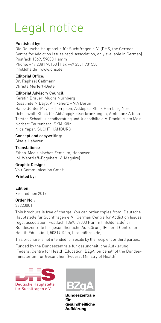## Legal notice

#### Published by:

Die Deutsche Hauptstelle für Suchtfragen e. V. (DHS, the German Centre for Addiction Issues regd. association, only available in German) Postfach 1369, 59003 Hamm Phone: +49 2381 90150 | Fax +49 2381 901530 info@dhs.de | www.dhs.de

#### Editorial Office:

Dr. Raphael Gaßmann Christa Merfert-Diete

#### Editorial Advisory Council:

Kerstin Brauer, Mudra Nürnberg Rosalinde M'Bayo, Afrikaherz – VIA Berlin Hans-Günter Meyer-Thompson, Asklepios Klinik Hamburg Nord Ochsenzoll, Klinik für Abhängigkeitserkrankungen, Ambulanz Altona Torsten Schaaf, Jugendberatung und Jugendhilfe e. V. Frankfurt am Main Norbert Teutenberg, SKM Köln Nida Yapar, SUCHT.HAMBURG

#### Concept and copywriting: Gisela Haberer

Translations: Ethno-Medizinisches Zentrum, Hannover (M. Wentzlaff-Eggebert, V. Maguire)

#### Graphic Design:

Volt Communication GmbH

#### Printed by:

Edition: First edition 2017,  $\overline{\phantom{a}}$ 

#### Order No.: 33223001

This brochure is free of charge. You can order copies from: Deutsche Hauptstelle für Suchtfragen e. V. (German Centre for Addiction Issues regd. association, Postfach 1369, 59003 Hamm (info@dhs.de) or Bundeszentrale für gesundheitliche Aufklärung (Federal Centre for Health Education), 50819 Köln, (order@bzga.de)

This brochure is not intended for resale by the recipient or third parties.

Funded by the Bundeszentrale für gesundheitliche Aufklärung (Federal Centre for Health Education, BZgA) on behalf of the Bundesministerium für Gesundheit (Federal Ministry of Health)





**Bundeszentrale** für qesundheitliche Aufklärung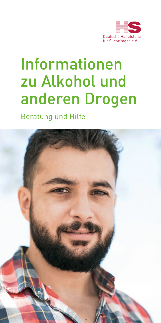

# Informationen zu Alkohol und anderen Drogen

Beratung und Hilfe

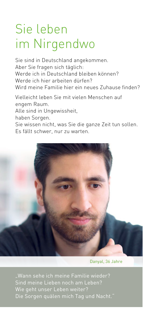## Sie leben im Nirgendwo

Sie sind in Deutschland angekommen. Aber Sie fragen sich täglich: Werde ich in Deutschland bleiben können? Werde ich hier arbeiten dürfen? Wird meine Familie hier ein neues Zuhause finden?

Vielleicht leben Sie mit vielen Menschen auf engem Raum.

Alle sind in Ungewissheit,

haben Sorgen.

Sie wissen nicht, was Sie die ganze Zeit tun sollen. Es fällt schwer, nur zu warten.



Danyal, 36 Jahre

"Wann sehe ich meine Familie wieder? Sind meine Lieben noch am Leben? Wie geht unser Leben weiter?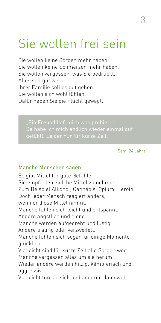### Sie wollen frei sein

Sie wollen keine Sorgen mehr haben. Sie wollen keine Schmerzen mehr haben. Sie wollen vergessen, was Sie bedrückt. Alles soll gut werden. Ihrer Familie soll es gut gehen. Sie wollen sich wohl fühlen. Dafür haben Sie die Flucht gewagt.

Sam, 24 Jahre

#### Manche Menschen sagen:

Es gibt Mittel für gute Gefühle. Sie empfehlen, solche Mittel zu nehmen. Zum Beispiel Alkohol, Cannabis, Opium, Heroin. Doch jeder Mensch reagiert anders, wenn er diese Mittel nimmt. Manche fühlen sich leicht und entspannt. Andere ängstlich und elend. Manche werden aufgedreht und lustig. Andere traurig oder verzweifelt. Manche fühlen sich sogar für einige Momente glücklich. Vielleicht sind für kurze Zeit alle Sorgen weg. Manche vergessen alles um sie herum. Wieder andere werden hitzig, kämpferisch und aggressiv. Vielleicht tun sie sich und anderen dann weh.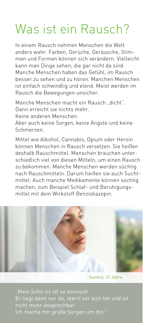## Was ist ein Rausch?

In einem Rausch nehmen Menschen die Welt anders wahr. Farben, Gerüche, Geräusche, Stimmen und Formen können sich verändern. Vielleicht kann man Dinge sehen, die gar nicht da sind. Manche Menschen haben das Gefühl, im Rausch besser zu sehen und zu hören. Manchen Menschen ist einfach schwindlig und elend. Meist werden im Rausch die Bewegungen unsicher.

Manche Menschen macht ein Rausch dicht" Dann erreicht sie nichts mehr.

Keine anderen Menschen.

Aber auch keine Sorgen, keine Ängste und keine Schmerzen.

Mittel wie Alkohol, Cannabis, Opium oder Heroin können Menschen in Rausch versetzen. Sie heißen deshalb Rauschmittel. Menschen brauchen unterschiedlich viel von diesen Mitteln, um einen Rausch zu bekommen. Manche Menschen werden süchtig nach Rauschmitteln. Darum heißen sie auch Suchtmittel. Auch manche Medikamente können süchtig machen, zum Beispiel Schlaf- und Beruhigungsmittel mit dem Wirkstoff Benzodiazepin.



Samira, 37 Jahre

Er liegt dann nur da, starrt vor sich hin und ist nicht mehr ansprechbar. Ich mache mir große Sorgen um ihn."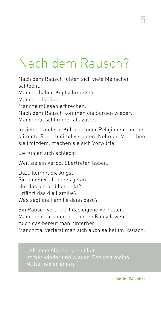# Nach dem Rausch?

Nach dem Rausch fühlen sich viele Menschen schlecht. Manche haben Kopfschmerzen. Manchen ist übel. Manche müssen erbrechen. Nach dem Rausch kommen die Sorgen wieder. Manchmal schlimmer als zuvor.

In vielen Ländern, Kulturen oder Religionen sind bestimmte Rauschmittel verboten. Nehmen Menschen sie trotzdem, machen sie sich Vorwürfe.

Sie fühlen sich schlecht.

Weil sie ein Verbot übertreten haben.

Dazu kommt die Angst: Sie haben Verbotenes getan. Hat das jemand bemerkt? Erfährt das die Familie? Was sagt die Familie dann dazu?

Ein Rausch verändert das eigene Verhalten. Manchmal tut man anderen im Rausch weh. Auch das bereut man hinterher. Manchmal verletzt man sich auch selbst im Rausch.

"Ich habe Alkohol getrunken. Immer wieder und wieder. Das darf meine

Matin, 24 Jahre

5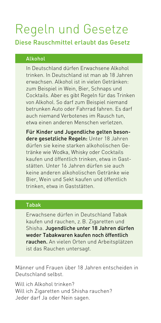# Regeln und Gesetze

### Diese Rauschmittel erlaubt das Gesetz

### Alkohol

In Deutschland dürfen Erwachsene Alkohol trinken. In Deutschland ist man ab 18 Jahren erwachsen. Alkohol ist in vielen Getränken: zum Beispiel in Wein, Bier, Schnaps und Cocktails. Aber es gibt Regeln für das Trinken von Alkohol. So darf zum Beispiel niemand betrunken Auto oder Fahrrad fahren. Es darf auch niemand Verbotenes im Rausch tun, etwa einen anderen Menschen verletzen.

Für Kinder und Jugendliche gelten besondere gesetzliche Regeln: Unter 18 Jahren dürfen sie keine starken alkoholischen Getränke wie Wodka, Whisky oder Cocktails kaufen und öffentlich trinken, etwa in Gaststätten. Unter 16 Jahren dürfen sie auch keine anderen alkoholischen Getränke wie Bier, Wein und Sekt kaufen und öffentlich trinken, etwa in Gaststätten.

### Tabak

Erwachsene dürfen in Deutschland Tabak kaufen und rauchen, z.B. Zigaretten und Shisha. Jugendliche unter 18 Jahren dürfen weder Tabakwaren kaufen noch öffentlich rauchen. An vielen Orten und Arbeitsplätzen ist das Rauchen untersagt.

Männer und Frauen über 18 Jahren entscheiden in Deutschland selbst.

Will ich Alkohol trinken? Will ich Zigaretten und Shisha rauchen? Jeder darf Ja oder Nein sagen.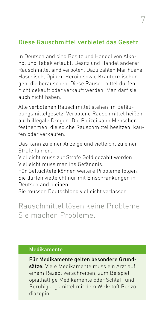### Diese Rauschmittel verbietet das Gesetz

In Deutschland sind Besitz und Handel von Alkohol und Tabak erlaubt. Besitz und Handel anderer Rauschmittel sind verboten. Dazu zählen Marihuana, Haschisch, Opium, Heroin sowie Kräutermischungen, die berauschen. Diese Rauschmittel dürfen nicht gekauft oder verkauft werden. Man darf sie auch nicht haben.

Alle verbotenen Rauschmittel stehen im Betäubungsmittelgesetz. Verbotene Rauschmittel heißen auch illegale Drogen. Die Polizei kann Menschen festnehmen, die solche Rauschmittel besitzen, kaufen oder verkaufen.

Das kann zu einer Anzeige und vielleicht zu einer Strafe führen.

Vielleicht muss zur Strafe Geld gezahlt werden. Vielleicht muss man ins Gefängnis.

Für Geflüchtete können weitere Probleme folgen: Sie dürfen vielleicht nur mit Einschränkungen in Deutschland bleiben.

Sie müssen Deutschland vielleicht verlassen.

Rauschmittel lösen keine Probleme. Sie machen Probleme.

#### Medikamente

Für Medikamente gelten besondere Grundsätze. Viele Medikamente muss ein Arzt auf einem Rezept verschreiben, zum Beispiel opiathaltige Medikamente oder Schlaf- und Beruhigungsmittel mit dem Wirkstoff Benzodiazepin.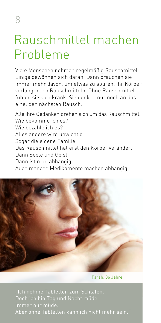### Rauschmittel machen Probleme

Viele Menschen nehmen regelmäßig Rauschmittel. Einige gewöhnen sich daran. Dann brauchen sie immer mehr davon, um etwas zu spüren. Ihr Körper verlangt nach Rauschmitteln. Ohne Rauschmittel fühlen sie sich krank. Sie denken nur noch an das eine: den nächsten Rausch.

Alle ihre Gedanken drehen sich um das Rauschmittel. Wie bekomme ich es? Wie bezahle ich es? Alles andere wird unwichtig. Sogar die eigene Familie. Das Rauschmittel hat erst den Körper verändert. Dann Seele und Geist. Dann ist man abhängig. Auch manche Medikamente machen abhängig.



Farah, 36 Jahre

"Ich nehme Tabletten zum Schlafen. Immer nur müde. Aber ohne Tabletten kann ich nicht mehr sein."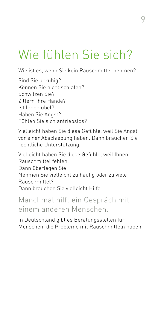## Wie fühlen Sie sich?

Wie ist es, wenn Sie kein Rauschmittel nehmen?

Sind Sie unruhig? Können Sie nicht schlafen? Schwitzen Sie? Zittern Ihre Hände? Ist Ihnen übel? Haben Sie Angst? Fühlen Sie sich antriebslos?

Vielleicht haben Sie diese Gefühle, weil Sie Angst vor einer Abschiebung haben. Dann brauchen Sie rechtliche Unterstützung.

Vielleicht haben Sie diese Gefühle, weil Ihnen Rauschmittel fehlen. Dann überlegen Sie: Nehmen Sie vielleicht zu häufig oder zu viele Rauschmittel? Dann brauchen Sie vielleicht Hilfe.

### Manchmal hilft ein Gespräch mit einem anderen Menschen.

In Deutschland gibt es Beratungsstellen für Menschen, die Probleme mit Rauschmitteln haben.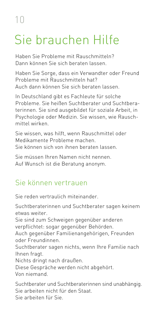# Sie brauchen Hilfe

Haben Sie Probleme mit Rauschmitteln? Dann können Sie sich beraten lassen.

Haben Sie Sorge, dass ein Verwandter oder Freund Probleme mit Rauschmitteln hat? Auch dann können Sie sich beraten lassen.

In Deutschland gibt es Fachleute für solche Probleme. Sie heißen Suchtberater und Suchtberaterinnen. Sie sind ausgebildet für soziale Arbeit, in Psychologie oder Medizin. Sie wissen, wie Rauschmittel wirken.

Sie wissen, was hilft, wenn Rauschmittel oder Medikamente Probleme machen. Sie können sich von ihnen beraten lassen.

Sie müssen Ihren Namen nicht nennen. Auf Wunsch ist die Beratung anonym.

### Sie können vertrauen

Sie reden vertraulich miteinander.

Suchtberaterinnen und Suchtberater sagen keinem etwas weiter.

Sie sind zum Schweigen gegenüber anderen verpflichtet: sogar gegenüber Behörden.

Auch gegenüber Familienangehörigen, Freunden oder Freundinnen.

Suchtberater sagen nichts, wenn Ihre Familie nach Ihnen fragt.

Nichts dringt nach draußen.

Diese Gespräche werden nicht abgehört.

Von niemand.

Suchtberater und Suchtberaterinnen sind unabhängig. Sie arbeiten nicht für den Staat. Sie arbeiten für Sie.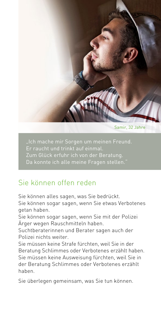

Samir, 32 Jahre

Er raucht und trinkt auf einmal. Zum Glück erfuhr ich von der Beratung. Da konnte ich alle meine Fragen stellen."

### Sie können offen reden

Sie können alles sagen, was Sie bedrückt.

Sie können sogar sagen, wenn Sie etwas Verbotenes getan haben.

Sie können sogar sagen, wenn Sie mit der Polizei Ärger wegen Rauschmitteln haben.

Suchtberaterinnen und Berater sagen auch der Polizei nichts weiter.

Sie müssen keine Strafe fürchten, weil Sie in der Beratung Schlimmes oder Verbotenes erzählt haben. Sie müssen keine Ausweisung fürchten, weil Sie in der Beratung Schlimmes oder Verbotenes erzählt haben.

Sie überlegen gemeinsam, was Sie tun können.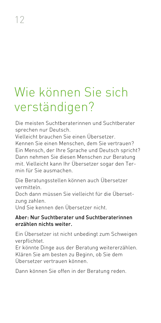# Wie können Sie sich verständigen?

Die meisten Suchtberaterinnen und Suchtberater sprechen nur Deutsch.

Vielleicht brauchen Sie einen Übersetzer.

Kennen Sie einen Menschen, dem Sie vertrauen? Ein Mensch, der Ihre Sprache und Deutsch spricht? Dann nehmen Sie diesen Menschen zur Beratung mit. Vielleicht kann Ihr Übersetzer sogar den Termin für Sie ausmachen.

Die Beratungsstellen können auch Übersetzer vermitteln.

Doch dann müssen Sie vielleicht für die Übersetzung zahlen.

Und Sie kennen den Übersetzer nicht.

### Aber: Nur Suchtberater und Suchtberaterinnen erzählen nichts weiter.

Ein Übersetzer ist nicht unbedingt zum Schweigen verpflichtet.

Er könnte Dinge aus der Beratung weitererzählen. Klären Sie am besten zu Beginn, ob Sie dem Übersetzer vertrauen können.

Dann können Sie offen in der Beratung reden.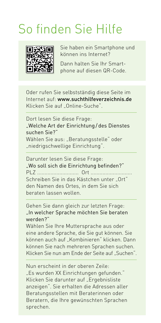### So finden Sie Hilfe



Sie haben ein Smartphone und können ins Internet?

Dann halten Sie Ihr Smartphone auf diesen QR-Code.

Oder rufen Sie selbstständig diese Seite im Internet auf: www.suchthilfeverzeichnis.de Klicken Sie auf "Online-Suche".

Dort lesen Sie diese Frage: "Welche Art der Einrichtung/des Dienstes suchen Sie?" Wählen Sie aus: "Beratungsstelle" oder "niedrigschwellige Einrichtung".

Darunter lesen Sie diese Frage: "Wo soll sich die Einrichtung befinden?" PLZ ............................ Ort ............................ Schreiben Sie in das Kästchen unter Ort" den Namen des Ortes, in dem Sie sich beraten lassen wollen.

Gehen Sie dann gleich zur letzten Frage: "In welcher Sprache möchten Sie beraten werden?"

Wählen Sie Ihre Muttersprache aus oder eine andere Sprache, die Sie gut können. Sie können auch auf "Kombinieren" klicken. Dann können Sie nach mehreren Sprachen suchen. Klicken Sie nun am Ende der Seite auf "Suchen".

Nun erscheint in der oberen Zeile: "Es wurden XX Einrichtungen gefunden." Klicken Sie darunter auf "Ergebnisliste anzeigen". Sie erhalten die Adressen aller Beratungsstellen mit Beraterinnen oder Beratern, die Ihre gewünschten Sprachen sprechen.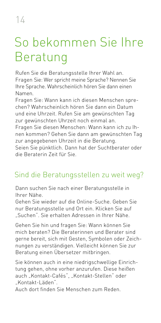# So bekommen Sie Ihre Beratung

Rufen Sie die Beratungsstelle Ihrer Wahl an. Fragen Sie: Wer spricht meine Sprache? Nennen Sie Ihre Sprache. Wahrscheinlich hören Sie dann einen Namen.

Fragen Sie: Wann kann ich diesen Menschen sprechen? Wahrscheinlich hören Sie dann ein Datum und eine Uhrzeit. Rufen Sie am gewünschten Tag zur gewünschten Uhrzeit noch einmal an.

Fragen Sie diesen Menschen: Wann kann ich zu Ihnen kommen? Gehen Sie dann am gewünschten Tag zur angegebenen Uhrzeit in die Beratung.

Seien Sie pünktlich. Dann hat der Suchtberater oder die Beraterin Zeit für Sie.

### Sind die Beratungsstellen zu weit weg?

Dann suchen Sie nach einer Beratungsstelle in Ihrer Nähe.

Gehen Sie wieder auf die Online-Suche. Geben Sie nur Beratungsstelle und Ort ein. Klicken Sie auf "Suchen". Sie erhalten Adressen in Ihrer Nähe.

Gehen Sie hin und fragen Sie: Wann können Sie mich beraten? Die Beraterinnen und Berater sind gerne bereit, sich mit Gesten, Symbolen oder Zeichnungen zu verständigen. Vielleicht können Sie zur Beratung einen Übersetzer mitbringen.

Sie können auch in eine niedrigschwellige Einrichtung gehen, ohne vorher anzurufen. Diese heißen auch "Kontakt-Cafés", "Kontakt-Stellen" oder "Kontakt-Läden".

Auch dort finden Sie Menschen zum Reden.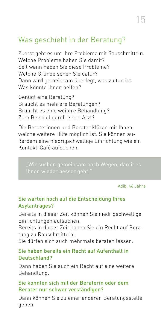### Was geschieht in der Beratung?

Zuerst geht es um Ihre Probleme mit Rauschmitteln. Welche Probleme haben Sie damit? Seit wann haben Sie diese Probleme? Welche Gründe sehen Sie dafür? Dann wird gemeinsam überlegt, was zu tun ist. Was könnte Ihnen helfen?

Genügt eine Beratung? Braucht es mehrere Beratungen? Braucht es eine weitere Behandlung? Zum Beispiel durch einen Arzt?

Die Beraterinnen und Berater klären mit Ihnen, welche weitere Hilfe möglich ist. Sie können außerdem eine niedrigschwellige Einrichtung wie ein Kontakt-Café aufsuchen.

Adib, 46 Jahre

### Sie warten noch auf die Entscheidung Ihres Asylantrages?

Bereits in dieser Zeit können Sie niedrigschwellige Einrichtungen aufsuchen.

Bereits in dieser Zeit haben Sie ein Recht auf Beratung zu Rauschmitteln.

Sie dürfen sich auch mehrmals beraten lassen.

#### Sie haben bereits ein Recht auf Aufenthalt in Deutschland?

Dann haben Sie auch ein Recht auf eine weitere Behandlung.

#### Sie konnten sich mit der Beraterin oder dem Berater nur schwer verständigen?

Dann können Sie zu einer anderen Beratungsstelle gehen.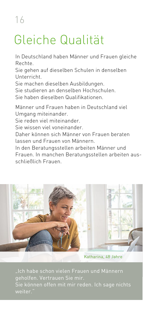# Gleiche Qualität

In Deutschland haben Männer und Frauen gleiche Rechte.

Sie gehen auf dieselben Schulen in denselben Unterricht.

Sie machen dieselben Ausbildungen.

Sie studieren an denselben Hochschulen.

Sie haben dieselben Qualifikationen.

Männer und Frauen haben in Deutschland viel Umgang miteinander.

Sie reden viel miteinander.

Sie wissen viel voneinander.

Daher können sich Männer von Frauen beraten lassen und Frauen von Männern.

In den Beratungsstellen arbeiten Männer und Frauen. In manchen Beratungsstellen arbeiten ausschließlich Frauen.



Katharina, 48 Jahre

geholfen. Vertrauen Sie mir. Sie können offen mit mir reden. Ich sage nichts weiter.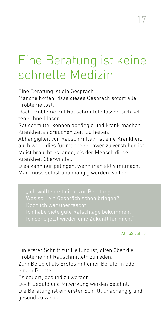## Eine Beratung ist keine schnelle Medizin

Eine Beratung ist ein Gespräch.

Manche hoffen, dass dieses Gespräch sofort alle Probleme löst.

Doch Probleme mit Rauschmitteln lassen sich selten schnell lösen.

Rauschmittel können abhängig und krank machen. Krankheiten brauchen Zeit, zu heilen.

Abhängigkeit von Rauschmitteln ist eine Krankheit, auch wenn dies für manche schwer zu verstehen ist. Meist braucht es lange, bis der Mensch diese Krankheit überwindet.

Dies kann nur gelingen, wenn man aktiv mitmacht. Man muss selbst unabhängig werden wollen.

Was soll ein Gespräch schon bringen? Doch ich war überrascht.

#### Ali, 52 Jahre

Ein erster Schritt zur Heilung ist, offen über die Probleme mit Rauschmitteln zu reden.

Zum Beispiel als Erstes mit einer Beraterin oder einem Berater.

Es dauert, gesund zu werden.

Doch Geduld und Mitwirkung werden belohnt. Die Beratung ist ein erster Schritt, unabhängig und gesund zu werden.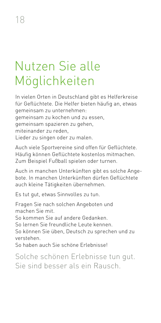## Nutzen Sie alle Möglichkeiten

In vielen Orten in Deutschland gibt es Helferkreise für Geflüchtete. Die Helfer bieten häufig an, etwas gemeinsam zu unternehmen: gemeinsam zu kochen und zu essen, gemeinsam spazieren zu gehen, miteinander zu reden, Lieder zu singen oder zu malen.

Auch viele Sportvereine sind offen für Geflüchtete. Häufig können Geflüchtete kostenlos mitmachen. Zum Beispiel Fußball spielen oder turnen.

Auch in manchen Unterkünften gibt es solche Angebote. In manchen Unterkünften dürfen Geflüchtete auch kleine Tätigkeiten übernehmen.

Es tut gut, etwas Sinnvolles zu tun.

Fragen Sie nach solchen Angeboten und machen Sie mit. So kommen Sie auf andere Gedanken. So lernen Sie freundliche Leute kennen. So können Sie üben, Deutsch zu sprechen und zu verstehen. So haben auch Sie schöne Erlebnisse!

Solche schönen Erlebnisse tun gut. Sie sind besser als ein Rausch.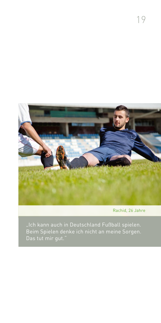

Rachid, 26 Jahre

Beim Spielen denke ich nicht an meine Sorgen. Das tut mir gut."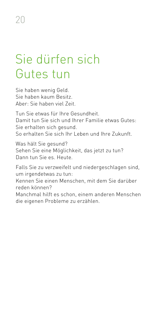## Sie dürfen sich Gutes tun

Sie haben wenig Geld. Sie haben kaum Besitz. Aber: Sie haben viel Zeit.

Tun Sie etwas für Ihre Gesundheit. Damit tun Sie sich und Ihrer Familie etwas Gutes: Sie erhalten sich gesund. So erhalten Sie sich Ihr Leben und Ihre Zukunft.

Was hält Sie gesund? Sehen Sie eine Möglichkeit, das jetzt zu tun? Dann tun Sie es. Heute.

Falls Sie zu verzweifelt und niedergeschlagen sind, um irgendetwas zu tun:

Kennen Sie einen Menschen, mit dem Sie darüber reden können?

Manchmal hilft es schon, einem anderen Menschen die eigenen Probleme zu erzählen.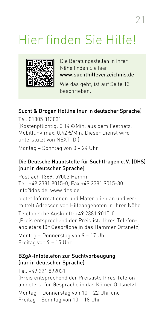# Hier finden Sie Hilfe!



Die Beratungsstellen in Ihrer Nähe finden Sie hier: www.suchthilfeverzeichnis.de

Wie das geht, ist auf Seite 13 beschrieben.

### Sucht & Drogen Hotline (nur in deutscher Sprache)

Tel. 01805 313031 (Kostenpflichtig: 0,14 €/Min. aus dem Festnetz, Mobilfunk max. 0,42 €/Min. Dieser Dienst wird unterstützt von NEXT ID.) Montag – Sonntag von 0 – 24 Uhr

### Die Deutsche Hauptstelle für Suchtfragen e.V. (DHS) (nur in deutscher Sprache)

Postfach 1369, 59003 Hamm Tel. +49 2381 9015-0, Fax +49 2381 9015-30 info@dhs.de, www.dhs.de

bietet Informationen und Materialien an und vermittelt Adressen von Hilfeangeboten in Ihrer Nähe.

Telefonische Auskunft: +49 2381 9015-0 (Preis entsprechend der Preisliste Ihres Telefonanbieters für Gespräche in das Hammer Ortsnetz)

Montag – Donnerstag von 9 – 17 Uhr Freitag von 9 – 15 Uhr

#### BZgA-Infotelefon zur Suchtvorbeugung (nur in deutscher Sprache)

Tel. +49 221 892031 (Preis entsprechend der Preisliste Ihres Telefonanbieters für Gespräche in das Kölner Ortsnetz) Montag – Donnerstag von 10 – 22 Uhr und

Freitag – Sonntag von 10 – 18 Uhr